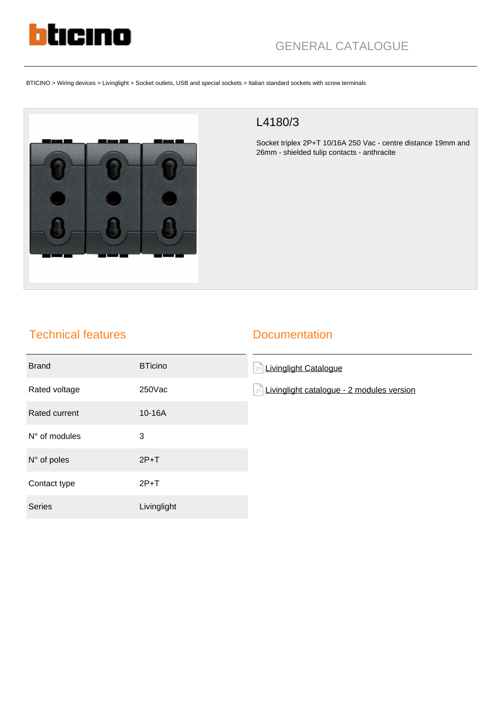

# GENERAL CATALOGUE

BTICINO > Wiring devices > Livinglight > Socket outlets, USB and special sockets > Italian standard sockets with screw terminals



## L4180/3

Socket triplex 2P+T 10/16A 250 Vac - centre distance 19mm and 26mm - shielded tulip contacts - anthracite

### Technical features

#### **Documentation**

| <b>Brand</b>         | <b>BTicino</b> | <b>Livinglight Catalogue</b><br>$\equiv$              |
|----------------------|----------------|-------------------------------------------------------|
| Rated voltage        | $250$ Vac      | Livinglight catalogue - 2 modules version<br>$\equiv$ |
| Rated current        | 10-16A         |                                                       |
| N° of modules        | 3              |                                                       |
| $N^{\circ}$ of poles | $2P+T$         |                                                       |
| Contact type         | $2P+T$         |                                                       |
| <b>Series</b>        | Livinglight    |                                                       |